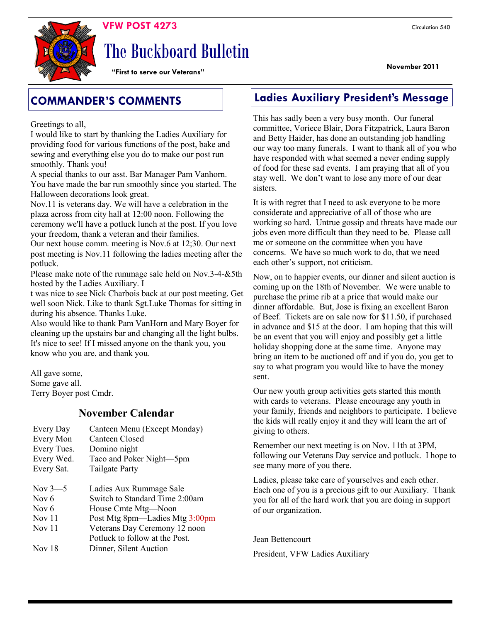

# The Buckboard Bulletin

**"First to serve our Veterans"**

Greetings to all,

I would like to start by thanking the Ladies Auxiliary for providing food for various functions of the post, bake and sewing and everything else you do to make our post run smoothly. Thank you!

A special thanks to our asst. Bar Manager Pam Vanhorn. You have made the bar run smoothly since you started. The Halloween decorations look great.

Nov.11 is veterans day. We will have a celebration in the plaza across from city hall at 12:00 noon. Following the ceremony we'll have a potluck lunch at the post. If you love your freedom, thank a veteran and their families.

Our next house comm. meeting is Nov.6 at 12;30. Our next post meeting is Nov.11 following the ladies meeting after the potluck.

Please make note of the rummage sale held on Nov.3-4-&5th hosted by the Ladies Auxiliary. I

t was nice to see Nick Charbois back at our post meeting. Get well soon Nick. Like to thank Sgt.Luke Thomas for sitting in during his absence. Thanks Luke.

Also would like to thank Pam VanHorn and Mary Boyer for cleaning up the upstairs bar and changing all the light bulbs. It's nice to see! If I missed anyone on the thank you, you know who you are, and thank you.

All gave some, Some gave all. Terry Boyer post Cmdr.

### **November Calendar**

| Every Day<br>Every Mon<br>Every Tues.<br>Every Wed.<br>Every Sat. | Canteen Menu (Except Monday)<br>Canteen Closed<br>Domino night<br>Taco and Poker Night-5pm<br><b>Tailgate Party</b>                                                                   |
|-------------------------------------------------------------------|---------------------------------------------------------------------------------------------------------------------------------------------------------------------------------------|
| Nov $3-5$<br>Nov 6<br>Nov 6<br>Nov <sub>11</sub><br>Nov $11$      | Ladies Aux Rummage Sale<br>Switch to Standard Time 2:00am<br>House Cmte Mtg—Noon<br>Post Mtg 8pm—Ladies Mtg 3:00pm<br>Veterans Day Ceremony 12 noon<br>Potluck to follow at the Post. |
| Nov 18                                                            | Dinner, Silent Auction                                                                                                                                                                |

### **COMMANDER'S COMMENTS Ladies Auxiliary President's Message**

This has sadly been a very busy month. Our funeral committee, Voriece Blair, Dora Fitzpatrick, Laura Baron and Betty Haider, has done an outstanding job handling our way too many funerals. I want to thank all of you who have responded with what seemed a never ending supply of food for these sad events. I am praying that all of you stay well. We don't want to lose any more of our dear sisters.

It is with regret that I need to ask everyone to be more considerate and appreciative of all of those who are working so hard. Untrue gossip and threats have made our jobs even more difficult than they need to be. Please call me or someone on the committee when you have concerns. We have so much work to do, that we need each other's support, not criticism.

Now, on to happier events, our dinner and silent auction is coming up on the 18th of November. We were unable to purchase the prime rib at a price that would make our dinner affordable. But, Jose is fixing an excellent Baron of Beef. Tickets are on sale now for \$11.50, if purchased in advance and \$15 at the door. I am hoping that this will be an event that you will enjoy and possibly get a little holiday shopping done at the same time. Anyone may bring an item to be auctioned off and if you do, you get to say to what program you would like to have the money sent.

Our new youth group activities gets started this month with cards to veterans. Please encourage any youth in your family, friends and neighbors to participate. I believe the kids will really enjoy it and they will learn the art of giving to others.

Remember our next meeting is on Nov. 11th at 3PM, following our Veterans Day service and potluck. I hope to see many more of you there.

Ladies, please take care of yourselves and each other. Each one of you is a precious gift to our Auxiliary. Thank you for all of the hard work that you are doing in support of our organization.

Jean Bettencourt President, VFW Ladies Auxiliary **November 2011**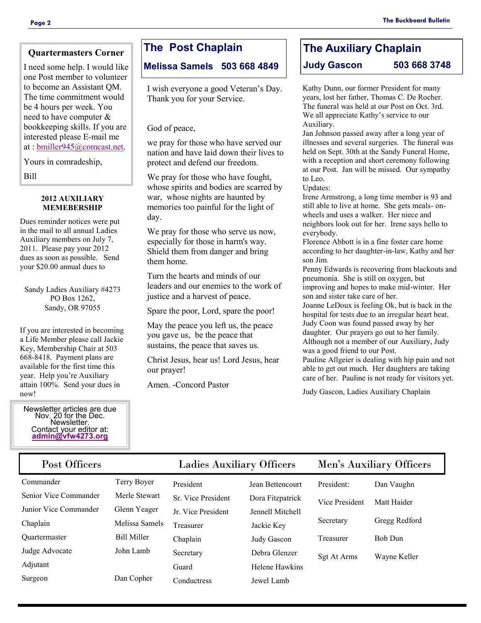### **Quartermasters Corner**

I need some help. I would like one Post member to volunteer to become an Assistant QM. The time commitment would be 4 hours per week. You need to have computer & bookkeeping skills. If you are interested please E-mail me at : [bmiller945@comcast.net.](mailto:bmiller945@comcast.net)

Yours in comradeship,

Bill

#### **2012 AUXILIARY MEMEBERSHIP**

Dues reminder notices were put in the mail to all annual Ladies Auxiliary members on July 7, 2011. Please pay your 2012 dues as soon as possible. Send your \$20.00 annual dues to

Sandy Ladies Auxiliary #4273 PO Box 1262, Sandy, OR 97055

If you are interested in becoming a Life Member please call Jackie Key, Membership Chair at 503 668-8418. Payment plans are available for the first time this year. Help you're Auxiliary attain 100%. Send your dues in now!

#### Newsletter articles are due Nov. 20 for the Dec. Newsletter. Contact your editor at: **[admin@vfw4273.org](mailto:admin@vfw4273.org)**

### **The Post Chaplain**

**Melissa Samels 503 668 4849**

I wish everyone a good Veteran's Day. Thank you for your Service.

God of peace,

we pray for those who have served our nation and have laid down their lives to protect and defend our freedom.

We pray for those who have fought, whose spirits and bodies are scarred by war, whose nights are haunted by memories too painful for the light of day.

We pray for those who serve us now, especially for those in harm's way. Shield them from danger and bring them home.

Turn the hearts and minds of our leaders and our enemies to the work of justice and a harvest of peace.

Spare the poor, Lord, spare the poor!

May the peace you left us, the peace you gave us, be the peace that sustains, the peace that saves us.

Christ Jesus, hear us! Lord Jesus, hear our prayer!

Amen. -Concord Pastor

### **The Auxiliary Chaplain Judy Gascon 503 668 3748**

Kathy Dunn, our former President for many years, lost her father, Thomas C. De Rocher. The funeral was held at our Post on Oct. 3rd. We all appreciate Kathy's service to our Auxiliary.

Jan Johnson passed away after a long year of illnesses and several surgeries. The funeral was held on Sept. 30th at the Sandy Funeral Home, with a reception and short ceremony following at our Post. Jan will be missed. Our sympathy to Leo.

Updates:

Irene Armstrong, a long time member is 93 and still able to live at home. She gets meals- onwheels and uses a walker. Her niece and neighbors look out for her. Irene says hello to everybody.

Florence Abbott is in a fine foster care home according to her daughter-in-law, Kathy and her son Jim.

Penny Edwards is recovering from blackouts and pneumonia. She is still on oxygen, but improving and hopes to make mid-winter. Her son and sister take care of her.

Joanne LeDoux is feeling Ok, but is back in the hospital for tests due to an irregular heart beat. Judy Coon was found passed away by her daughter. Our prayers go out to her family. Although not a member of our Auxiliary, Judy

was a good friend to our Post.

Pauline Allgeier is dealing with hip pain and not able to get out much. Her daughters are taking care of her. Pauline is not ready for visitors yet.

Judy Gascon, Ladies Auxiliary Chaplain

| Post Officers         |                    | <b>Ladies Auxiliary Officers</b> |                  | Men's Auxiliary Officers |               |
|-----------------------|--------------------|----------------------------------|------------------|--------------------------|---------------|
| Commander             | Terry Boyer        | President                        | Jean Bettencourt | President:               | Dan Vaughn    |
| Senior Vice Commander | Merle Stewart      | Sr. Vice President               | Dora Fitzpatrick | Vice President           | Matt Haider   |
| Junior Vice Commander | Glenn Yeager       | Jr. Vice President               | Jennell Mitchell |                          |               |
| Chaplain              | Melissa Samels     | Treasurer                        | Jackie Key       | Secretary                | Gregg Redford |
| <b>Ouartermaster</b>  | <b>Bill Miller</b> | Chaplain                         | Judy Gascon      | Treasurer                | Bob Dun       |
| Judge Advocate        | John Lamb          | Secretary                        | Debra Glenzer    | Sgt At Arms              | Wayne Keller  |
| Adjutant              |                    | Guard                            | Helene Hawkins   |                          |               |
| Surgeon               | Dan Copher         | Conductress                      | Jewel Lamb       |                          |               |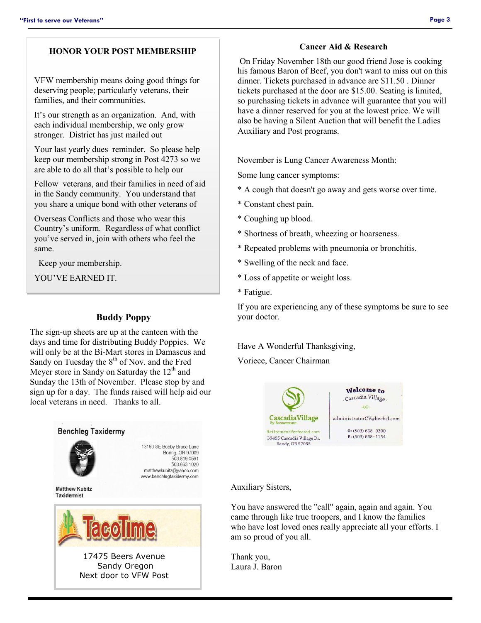### **HONOR YOUR POST MEMBERSHIP**

VFW membership means doing good things for deserving people; particularly veterans, their families, and their communities.

It's our strength as an organization. And, with each individual membership, we only grow stronger. District has just mailed out

Your last yearly dues reminder. So please help keep our membership strong in Post 4273 so we are able to do all that's possible to help our

Fellow veterans, and their families in need of aid in the Sandy community. You understand that you share a unique bond with other veterans of

Overseas Conflicts and those who wear this Country's uniform. Regardless of what conflict you've served in, join with others who feel the same.

Keep your membership.

YOU'VE EARNED IT.

### **Buddy Poppy**

The sign-up sheets are up at the canteen with the days and time for distributing Buddy Poppies. We will only be at the Bi-Mart stores in Damascus and Sandy on Tuesday the  $8<sup>th</sup>$  of Nov. and the Fred Meyer store in Sandy on Saturday the  $12<sup>th</sup>$  and Sunday the 13th of November. Please stop by and sign up for a day. The funds raised will help aid our local veterans in need. Thanks to all.



#### **Cancer Aid & Research**

On Friday November 18th our good friend Jose is cooking his famous Baron of Beef, you don't want to miss out on this dinner. Tickets purchased in advance are \$11.50 . Dinner tickets purchased at the door are \$15.00. Seating is limited, so purchasing tickets in advance will guarantee that you will have a dinner reserved for you at the lowest price. We will also be having a Silent Auction that will benefit the Ladies Auxiliary and Post programs.

November is Lung Cancer Awareness Month:

Some lung cancer symptoms:

- \* A cough that doesn't go away and gets worse over time.
- \* Constant chest pain.
- \* Coughing up blood.
- \* Shortness of breath, wheezing or hoarseness.
- \* Repeated problems with pneumonia or bronchitis.
- \* Swelling of the neck and face.
- \* Loss of appetite or weight loss.
- \* Fatigue.

If you are experiencing any of these symptoms be sure to see your doctor.

Have A Wonderful Thanksgiving,

Voriece, Cancer Chairman



### Auxiliary Sisters,

You have answered the "call" again, again and again. You came through like true troopers, and I know the families who have lost loved ones really appreciate all your efforts. I am so proud of you all.

Thank you, Laura J. Baron